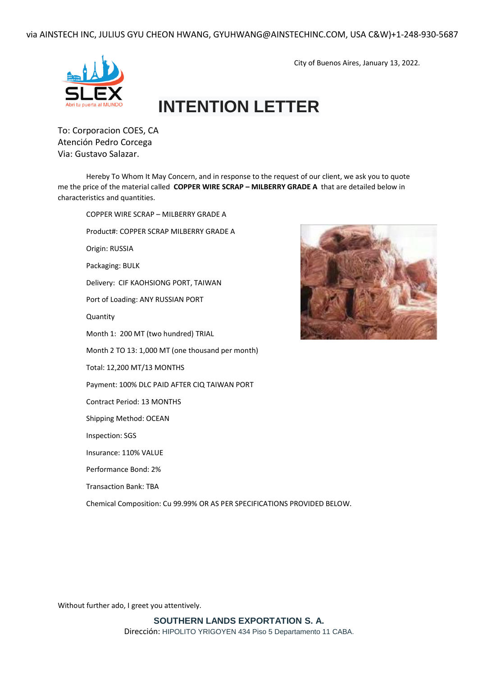via AINSTECH INC, JULIUS GYU CHEON HWANG, GYUHWANG@AINSTECHINC.COM, USA C&W)+1-248-930-5687



## **INTENTION LETTER**

To: Corporacion COES, CA Atención Pedro Corcega Via: Gustavo Salazar.

Hereby To Whom It May Concern, and in response to the request of our client, we ask you to quote me the price of the material called **COPPER WIRE SCRAP – MILBERRY GRADE A** that are detailed below in characteristics and quantities.

COPPER WIRE SCRAP – MILBERRY GRADE A Product#: COPPER SCRAP MILBERRY GRADE A Origin: RUSSIA Packaging: BULK Delivery: CIF KAOHSIONG PORT, TAIWAN Port of Loading: ANY RUSSIAN PORT **Quantity** Month 1: 200 MT (two hundred) TRIAL Month 2 TO 13: 1,000 MT (one thousand per month) Total: 12,200 MT/13 MONTHS Payment: 100% DLC PAID AFTER CIQ TAIWAN PORT Contract Period: 13 MONTHS Shipping Method: OCEAN Inspection: SGS Insurance: 110% VALUE Performance Bond: 2% Transaction Bank: TBA Chemical Composition: Cu 99.99% OR AS PER SPECIFICATIONS PROVIDED BELOW.



City of Buenos Aires, January 13, 2022.

Without further ado, I greet you attentively.